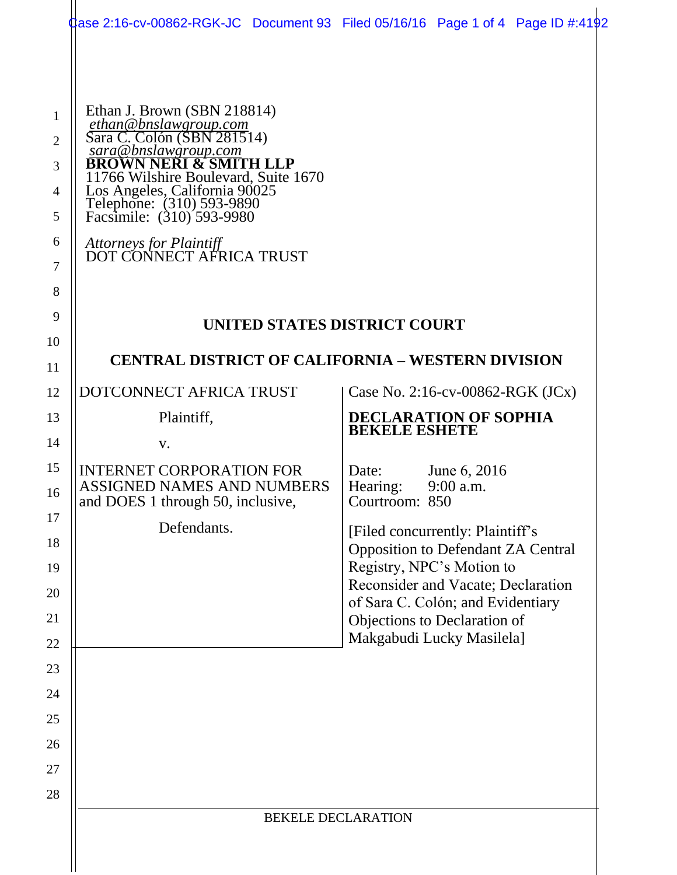| [] [] ase 2:16-cv-00862-RGK-JC Document 93 Filed 05/16/16 Page 1 of 4 Page ID #:4192                                                                                                                                                                                                                                                   |                                                                               |
|----------------------------------------------------------------------------------------------------------------------------------------------------------------------------------------------------------------------------------------------------------------------------------------------------------------------------------------|-------------------------------------------------------------------------------|
| Ethan J. Brown (SBN 218814)<br>ethan@bnslawgroup.com<br>Sara C. Colón (SBN 281514)<br>sara@bnslawgroup.com<br>BROWN NERI & SMITH LLP<br>11766 Wilshire Boulevard, Suite 1670<br>Los Angeles, California 90025<br>Telephone: (310) 593-9890<br>Facsimile: (310) 593-9980<br><b>Attorneys for Plaintiff<br/>DOT CONNECT AFRICA TRUST</b> |                                                                               |
|                                                                                                                                                                                                                                                                                                                                        |                                                                               |
| UNITED STATES DISTRICT COURT                                                                                                                                                                                                                                                                                                           |                                                                               |
| <b>CENTRAL DISTRICT OF CALIFORNIA – WESTERN DIVISION</b>                                                                                                                                                                                                                                                                               |                                                                               |
| DOTCONNECT AFRICA TRUST                                                                                                                                                                                                                                                                                                                |                                                                               |
| Plaintiff,                                                                                                                                                                                                                                                                                                                             | Case No. 2:16-cv-00862-RGK (JCx)<br><b>DECLARATION OF SOPHIA</b>              |
| V.                                                                                                                                                                                                                                                                                                                                     | <b>BEKELE ESHETE</b>                                                          |
| <b>INTERNET CORPORATION FOR</b><br><b>ASSIGNED NAMES AND NUMBERS</b>                                                                                                                                                                                                                                                                   | June 6, 2016<br>Date:<br>Hearing:<br>9:00 a.m.                                |
| and DOES 1 through 50, inclusive,                                                                                                                                                                                                                                                                                                      | Courtroom: 850                                                                |
| Defendants.                                                                                                                                                                                                                                                                                                                            | [Filed concurrently: Plaintiff's<br><b>Opposition to Defendant ZA Central</b> |
|                                                                                                                                                                                                                                                                                                                                        | Registry, NPC's Motion to                                                     |
|                                                                                                                                                                                                                                                                                                                                        | Reconsider and Vacate; Declaration<br>of Sara C. Colón; and Evidentiary       |
|                                                                                                                                                                                                                                                                                                                                        | Objections to Declaration of<br>Makgabudi Lucky Masilela]                     |
|                                                                                                                                                                                                                                                                                                                                        |                                                                               |
|                                                                                                                                                                                                                                                                                                                                        |                                                                               |
|                                                                                                                                                                                                                                                                                                                                        |                                                                               |
|                                                                                                                                                                                                                                                                                                                                        |                                                                               |
|                                                                                                                                                                                                                                                                                                                                        |                                                                               |
|                                                                                                                                                                                                                                                                                                                                        |                                                                               |
| <b>BEKELE DECLARATION</b>                                                                                                                                                                                                                                                                                                              |                                                                               |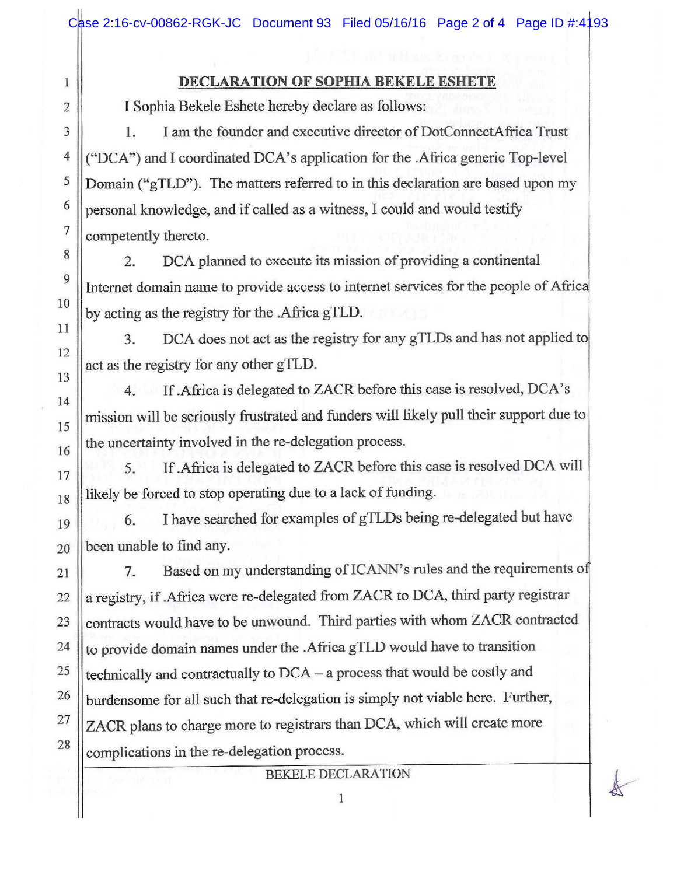## **DECLARATION OF SOPHIA BEKELE ESHETE**

I Sophia Bekele Eshete hereby declare as follows:

1

2

3

9

10

11

12

13

14

15

16

17

1. I am the founder and executive director of DotConnectAfrica Trust 4 ("DCA") and I coordinated DCA's application for the .Africa generic Top-level  $5 \parallel$ Domain ("gTLD"). The matters referred to in this declaration are based upon my  $\frac{6}{9}$  personal knowledge, and if called as a witness, I could and would testify  $7$  competently thereto.

<sup>8</sup> 2. DCA planned to execute its mission of providing a continental Internet domain name to provide access to internet services for the people of Afric by acting as the registry for the .Africa gTLD.

3. DCA does not act as the registry for any gTLDs and has not applied to act as the registry for any other gTLD.

4. If .Africa is delegated to ZACR before this case is resolved, DCA's mission will be seriously frustrated and funders will likely pull their support due to the uncertainty involved in the re-delegation process.

5. If .Africa is delegated to ZACR before this case is resolved DCA will  $_{18}$  ||likely be forced to stop operating due to a lack of funding.

19 || 6. I have searched for examples of gTLDs being re-delegated but have  $_{20}$  | been unable to find any.

21 | 7. Based on my understanding of ICANN's rules and the requirements of 22  $\parallel$  a registry, if .Africa were re-delegated from ZACR to DCA, third party registrar 23 Contracts would have to be unwound. Third parties with whom ZACR contracted 24 | to provide domain names under the .Africa gTLD would have to transition <sup>25</sup> | technically and contractually to  $DCA - a$  process that would be costly and  $26$  || burdensome for all such that re-delegation is simply not viable here. Further,  $27$  ZACR plans to charge more to registrars than DCA, which will create more  $\frac{28}{\text{complications}}$  in the re-delegation process.

## BEKELE DECLARATION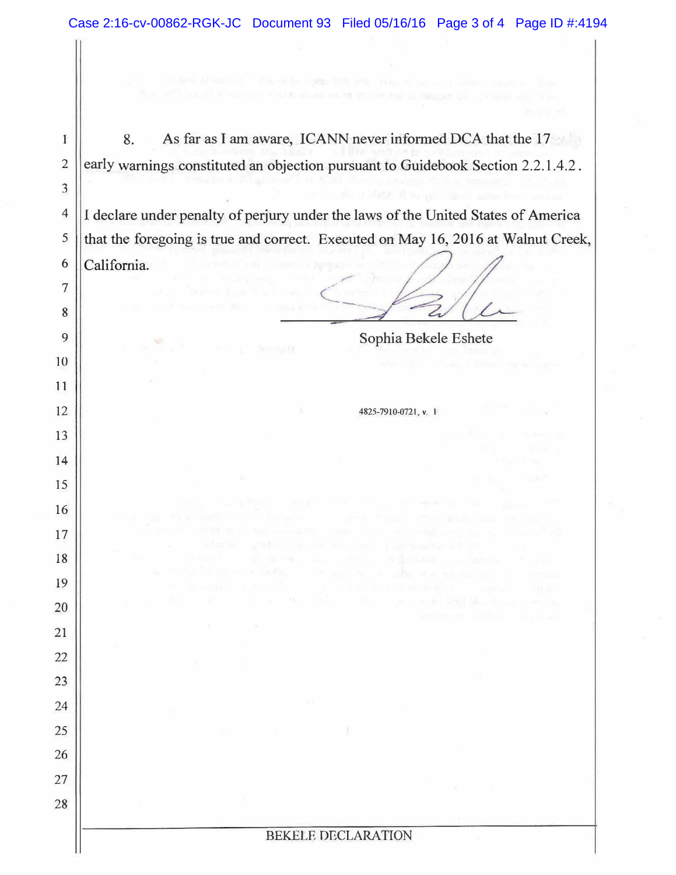| TOOL DIE WOULD A<br><b>INVESTOR OF VIEWS FOR EX INVESTIGATION</b>                 |
|-----------------------------------------------------------------------------------|
| As far as I am aware, ICANN never informed DCA that the 17<br>8.                  |
| early warnings constituted an objection pursuant to Guidebook Section 2.2.1.4.2.  |
| 11 May 18 to your stand agent from someone                                        |
| I declare under penalty of perjury under the laws of the United States of America |
| that the foregoing is true and correct. Executed on May 16, 2016 at Walnut Creek, |
| California.                                                                       |
|                                                                                   |
|                                                                                   |
| Sophia Bekele Eshete                                                              |
| <b>Christian B</b>                                                                |
|                                                                                   |
| 4825-7910-0721, v. 1                                                              |
|                                                                                   |
|                                                                                   |
|                                                                                   |
|                                                                                   |
| <b>STATE</b><br>ill pipe<br><b>CARD COMMANDERS</b>                                |
| an Fig.<br><b>CONTRACTOR</b>                                                      |
| a material                                                                        |
| and the Pilli                                                                     |
|                                                                                   |
|                                                                                   |
|                                                                                   |
|                                                                                   |
|                                                                                   |
|                                                                                   |
|                                                                                   |
|                                                                                   |
| <b>BEKELE DECLARATION</b>                                                         |